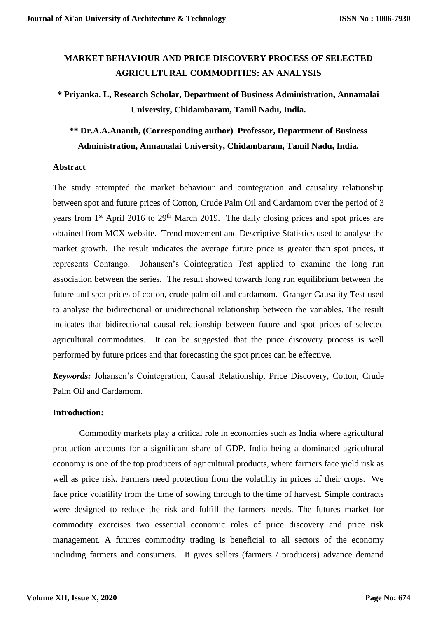# **MARKET BEHAVIOUR AND PRICE DISCOVERY PROCESS OF SELECTED AGRICULTURAL COMMODITIES: AN ANALYSIS**

# **\* Priyanka. L, Research Scholar, Department of Business Administration, Annamalai University, Chidambaram, Tamil Nadu, India.**

# **\*\* Dr.A.A.Ananth, (Corresponding author) Professor, Department of Business Administration, Annamalai University, Chidambaram, Tamil Nadu, India.**

#### **Abstract**

The study attempted the market behaviour and cointegration and causality relationship between spot and future prices of Cotton, Crude Palm Oil and Cardamom over the period of 3 years from  $1<sup>st</sup>$  April 2016 to  $29<sup>th</sup>$  March 2019. The daily closing prices and spot prices are obtained from MCX website. Trend movement and Descriptive Statistics used to analyse the market growth. The result indicates the average future price is greater than spot prices, it represents Contango. Johansen's Cointegration Test applied to examine the long run association between the series. The result showed towards long run equilibrium between the future and spot prices of cotton, crude palm oil and cardamom. Granger Causality Test used to analyse the bidirectional or unidirectional relationship between the variables. The result indicates that bidirectional causal relationship between future and spot prices of selected agricultural commodities. It can be suggested that the price discovery process is well performed by future prices and that forecasting the spot prices can be effective.

*Keywords:* Johansen's Cointegration, Causal Relationship, Price Discovery, Cotton, Crude Palm Oil and Cardamom.

#### **Introduction:**

Commodity markets play a critical role in economies such as India where agricultural production accounts for a significant share of GDP. India being a dominated agricultural economy is one of the top producers of agricultural products, where farmers face yield risk as well as price risk. Farmers need protection from the volatility in prices of their crops. We face price volatility from the time of sowing through to the time of harvest. Simple contracts were designed to reduce the risk and fulfill the farmers' needs. The futures market for commodity exercises two essential economic roles of price discovery and price risk management. A futures commodity trading is beneficial to all sectors of the economy including farmers and consumers. It gives sellers (farmers / producers) advance demand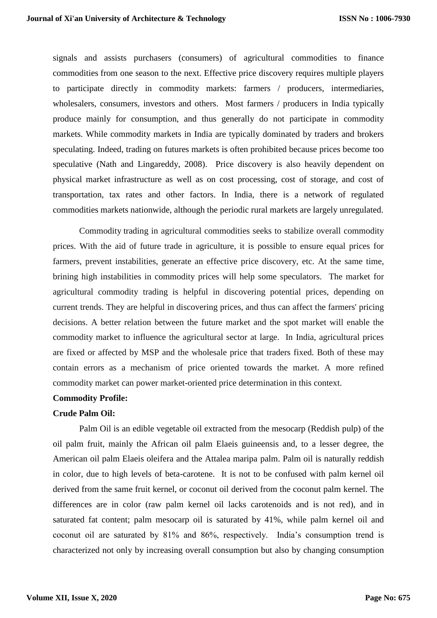signals and assists purchasers (consumers) of agricultural commodities to finance commodities from one season to the next. Effective price discovery requires multiple players to participate directly in commodity markets: farmers / producers, intermediaries, wholesalers, consumers, investors and others. Most farmers / producers in India typically produce mainly for consumption, and thus generally do not participate in commodity markets. While commodity markets in India are typically dominated by traders and brokers speculating. Indeed, trading on futures markets is often prohibited because prices become too speculative (Nath and Lingareddy, 2008). Price discovery is also heavily dependent on physical market infrastructure as well as on cost processing, cost of storage, and cost of transportation, tax rates and other factors. In India, there is a network of regulated commodities markets nationwide, although the periodic rural markets are largely unregulated.

Commodity trading in agricultural commodities seeks to stabilize overall commodity prices. With the aid of future trade in agriculture, it is possible to ensure equal prices for farmers, prevent instabilities, generate an effective price discovery, etc. At the same time, brining high instabilities in commodity prices will help some speculators. The market for agricultural commodity trading is helpful in discovering potential prices, depending on current trends. They are helpful in discovering prices, and thus can affect the farmers' pricing decisions. A better relation between the future market and the spot market will enable the commodity market to influence the agricultural sector at large. In India, agricultural prices are fixed or affected by MSP and the wholesale price that traders fixed. Both of these may contain errors as a mechanism of price oriented towards the market. A more refined commodity market can power market-oriented price determination in this context.

### **Commodity Profile:**

#### **Crude Palm Oil:**

Palm Oil is an edible vegetable oil extracted from the mesocarp (Reddish pulp) of the oil palm fruit, mainly the African oil palm Elaeis guineensis and, to a lesser degree, the American oil palm Elaeis oleifera and the Attalea maripa palm. Palm oil is naturally reddish in color, due to high levels of beta-carotene. It is not to be confused with palm kernel oil derived from the same fruit kernel, or coconut oil derived from the coconut palm kernel. The differences are in color (raw palm kernel oil lacks carotenoids and is not red), and in saturated fat content; palm mesocarp oil is saturated by 41%, while palm kernel oil and coconut oil are saturated by 81% and 86%, respectively. India's consumption trend is characterized not only by increasing overall consumption but also by changing consumption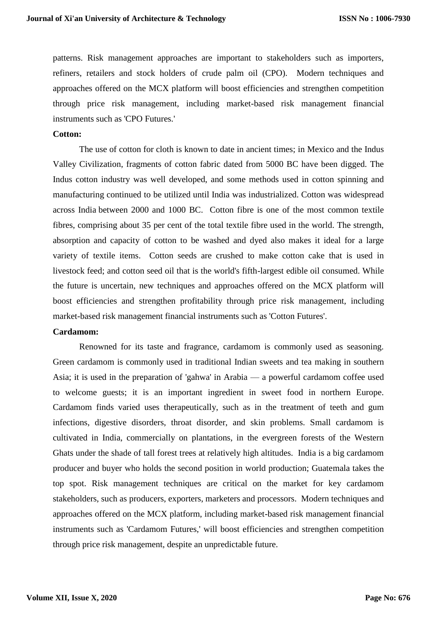patterns. Risk management approaches are important to stakeholders such as importers, refiners, retailers and stock holders of crude palm oil (CPO). Modern techniques and approaches offered on the MCX platform will boost efficiencies and strengthen competition through price risk management, including market-based risk management financial instruments such as 'CPO Futures.'

#### **Cotton:**

The use of cotton for cloth is known to date in ancient times; in Mexico and the Indus Valley Civilization, fragments of cotton fabric dated from 5000 BC have been digged. The Indus cotton industry was well developed, and some methods used in cotton spinning and manufacturing continued to be utilized until India was industrialized. Cotton was widespread across India between 2000 and 1000 BC. Cotton fibre is one of the most common textile fibres, comprising about 35 per cent of the total textile fibre used in the world. The strength, absorption and capacity of cotton to be washed and dyed also makes it ideal for a large variety of textile items. Cotton seeds are crushed to make cotton cake that is used in livestock feed; and cotton seed oil that is the world's fifth-largest edible oil consumed. While the future is uncertain, new techniques and approaches offered on the MCX platform will boost efficiencies and strengthen profitability through price risk management, including market-based risk management financial instruments such as 'Cotton Futures'.

#### **Cardamom:**

Renowned for its taste and fragrance, cardamom is commonly used as seasoning. Green cardamom is commonly used in traditional Indian sweets and tea making in southern Asia; it is used in the preparation of 'gahwa' in Arabia — a powerful cardamom coffee used to welcome guests; it is an important ingredient in sweet food in northern Europe. Cardamom finds varied uses therapeutically, such as in the treatment of teeth and gum infections, digestive disorders, throat disorder, and skin problems. Small cardamom is cultivated in India, commercially on plantations, in the evergreen forests of the Western Ghats under the shade of tall forest trees at relatively high altitudes. India is a big cardamom producer and buyer who holds the second position in world production; Guatemala takes the top spot. Risk management techniques are critical on the market for key cardamom stakeholders, such as producers, exporters, marketers and processors. Modern techniques and approaches offered on the MCX platform, including market-based risk management financial instruments such as 'Cardamom Futures,' will boost efficiencies and strengthen competition through price risk management, despite an unpredictable future.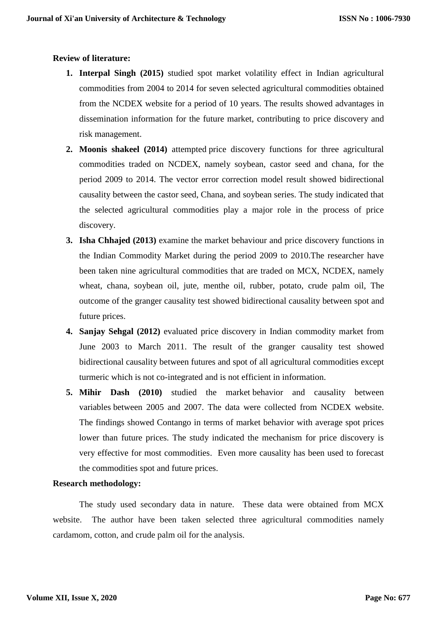#### **Review of literature:**

- **1. Interpal Singh (2015)** studied spot market volatility effect in Indian agricultural commodities from 2004 to 2014 for seven selected agricultural commodities obtained from the NCDEX website for a period of 10 years. The results showed advantages in dissemination information for the future market, contributing to price discovery and risk management.
- **2. Moonis shakeel (2014)** attempted price discovery functions for three agricultural commodities traded on NCDEX, namely soybean, castor seed and chana, for the period 2009 to 2014. The vector error correction model result showed bidirectional causality between the castor seed, Chana, and soybean series. The study indicated that the selected agricultural commodities play a major role in the process of price discovery.
- **3. Isha Chhajed (2013)** examine the market behaviour and price discovery functions in the Indian Commodity Market during the period 2009 to 2010.The researcher have been taken nine agricultural commodities that are traded on MCX, NCDEX, namely wheat, chana, soybean oil, jute, menthe oil, rubber, potato, crude palm oil, The outcome of the granger causality test showed bidirectional causality between spot and future prices.
- **4. Sanjay Sehgal (2012)** evaluated price discovery in Indian commodity market from June 2003 to March 2011. The result of the granger causality test showed bidirectional causality between futures and spot of all agricultural commodities except turmeric which is not co-integrated and is not efficient in information.
- **5. Mihir Dash (2010)** studied the market behavior and causality between variables between 2005 and 2007. The data were collected from NCDEX website. The findings showed Contango in terms of market behavior with average spot prices lower than future prices. The study indicated the mechanism for price discovery is very effective for most commodities. Even more causality has been used to forecast the commodities spot and future prices.

#### **Research methodology:**

The study used secondary data in nature. These data were obtained from MCX website. The author have been taken selected three agricultural commodities namely cardamom, cotton, and crude palm oil for the analysis.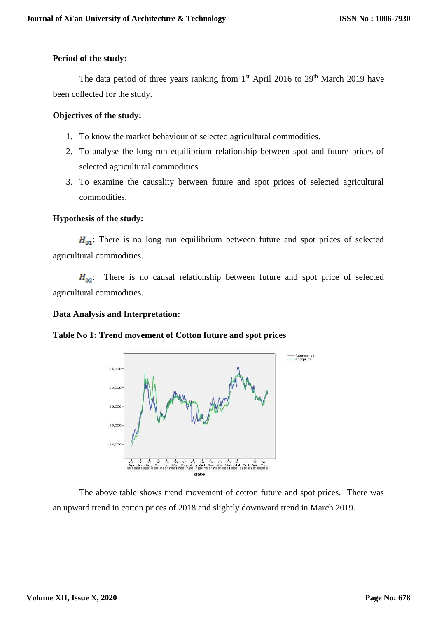#### **Period of the study:**

The data period of three years ranking from  $1<sup>st</sup>$  April 2016 to 29<sup>th</sup> March 2019 have been collected for the study.

### **Objectives of the study:**

- 1. To know the market behaviour of selected agricultural commodities.
- 2. To analyse the long run equilibrium relationship between spot and future prices of selected agricultural commodities.
- 3. To examine the causality between future and spot prices of selected agricultural commodities.

### **Hypothesis of the study:**

 $H_{01}$ : There is no long run equilibrium between future and spot prices of selected agricultural commodities.

 $H_{02}$ : There is no causal relationship between future and spot price of selected agricultural commodities.

#### **Data Analysis and Interpretation:**

## **Table No 1: Trend movement of Cotton future and spot prices**



The above table shows trend movement of cotton future and spot prices. There was an upward trend in cotton prices of 2018 and slightly downward trend in March 2019.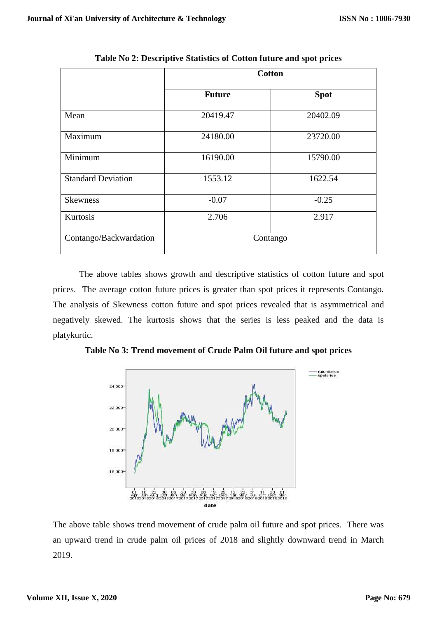|                           | <b>Cotton</b> |             |  |
|---------------------------|---------------|-------------|--|
|                           | <b>Future</b> | <b>Spot</b> |  |
| Mean                      | 20419.47      | 20402.09    |  |
| Maximum                   | 24180.00      | 23720.00    |  |
| Minimum                   | 16190.00      | 15790.00    |  |
| <b>Standard Deviation</b> | 1553.12       | 1622.54     |  |
| <b>Skewness</b>           | $-0.07$       | $-0.25$     |  |
| Kurtosis                  | 2.706         | 2.917       |  |
| Contango/Backwardation    | Contango      |             |  |

**Table No 2: Descriptive Statistics of Cotton future and spot prices**

The above tables shows growth and descriptive statistics of cotton future and spot prices. The average cotton future prices is greater than spot prices it represents Contango. The analysis of Skewness cotton future and spot prices revealed that is asymmetrical and negatively skewed. The kurtosis shows that the series is less peaked and the data is platykurtic.

**Table No 3: Trend movement of Crude Palm Oil future and spot prices**



The above table shows trend movement of crude palm oil future and spot prices. There was an upward trend in crude palm oil prices of 2018 and slightly downward trend in March 2019.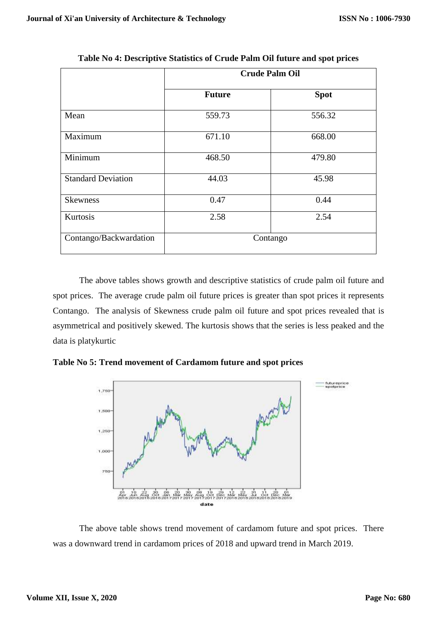|                           | <b>Crude Palm Oil</b> |             |  |
|---------------------------|-----------------------|-------------|--|
|                           | <b>Future</b>         | <b>Spot</b> |  |
| Mean                      | 559.73                | 556.32      |  |
| Maximum                   | 671.10                | 668.00      |  |
| Minimum                   | 468.50                | 479.80      |  |
| <b>Standard Deviation</b> | 44.03                 | 45.98       |  |
| <b>Skewness</b>           | 0.47                  | 0.44        |  |
| Kurtosis                  | 2.58                  | 2.54        |  |
| Contango/Backwardation    | Contango              |             |  |

**Table No 4: Descriptive Statistics of Crude Palm Oil future and spot prices**

The above tables shows growth and descriptive statistics of crude palm oil future and spot prices. The average crude palm oil future prices is greater than spot prices it represents Contango. The analysis of Skewness crude palm oil future and spot prices revealed that is asymmetrical and positively skewed. The kurtosis shows that the series is less peaked and the data is platykurtic

**Table No 5: Trend movement of Cardamom future and spot prices**



The above table shows trend movement of cardamom future and spot prices. There was a downward trend in cardamom prices of 2018 and upward trend in March 2019.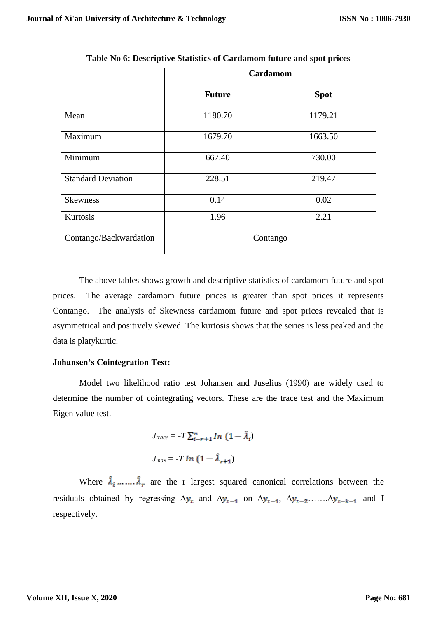|                           | <b>Cardamom</b>  |             |  |
|---------------------------|------------------|-------------|--|
|                           | <b>Future</b>    | <b>Spot</b> |  |
| Mean                      | 1180.70          | 1179.21     |  |
| Maximum                   | 1679.70          | 1663.50     |  |
| Minimum                   | 667.40           | 730.00      |  |
| <b>Standard Deviation</b> | 228.51<br>219.47 |             |  |
| <b>Skewness</b>           | 0.14             | 0.02        |  |
| Kurtosis                  | 1.96             | 2.21        |  |
| Contango/Backwardation    | Contango         |             |  |

**Table No 6: Descriptive Statistics of Cardamom future and spot prices**

The above tables shows growth and descriptive statistics of cardamom future and spot prices. The average cardamom future prices is greater than spot prices it represents Contango. The analysis of Skewness cardamom future and spot prices revealed that is asymmetrical and positively skewed. The kurtosis shows that the series is less peaked and the data is platykurtic.

#### **Johansen's Cointegration Test:**

Model two likelihood ratio test Johansen and Juselius (1990) are widely used to determine the number of cointegrating vectors. These are the trace test and the Maximum Eigen value test.

$$
J_{trace} = -T \sum_{i=r+1}^{n} In (1 - \hat{\lambda}_i)
$$

$$
J_{max} = -T In (1 - \hat{\lambda}_{r+1})
$$

Where  $\hat{\lambda}_i$  ... ...  $\hat{\lambda}_r$  are the r largest squared canonical correlations between the residuals obtained by regressing  $\Delta y_t$  and  $\Delta y_{t-1}$  on  $\Delta y_{t-1}$ ,  $\Delta y_{t-2}$ ...... $\Delta y_{t-k-1}$  and I respectively.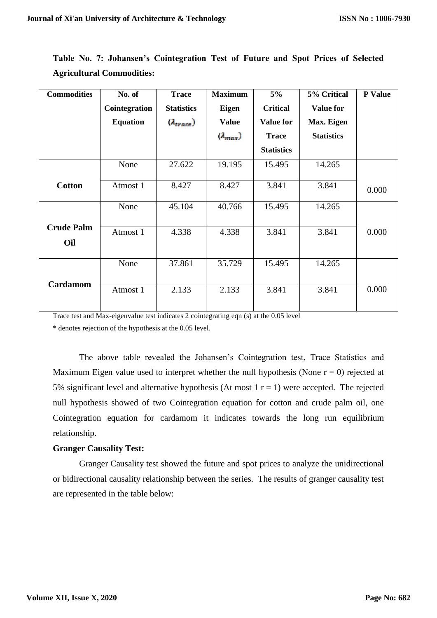| <b>Commodities</b>       | No. of          | <b>Trace</b>        | <b>Maximum</b>    | 5%                | 5% Critical       | P Value |
|--------------------------|-----------------|---------------------|-------------------|-------------------|-------------------|---------|
|                          | Cointegration   | <b>Statistics</b>   | <b>Eigen</b>      | <b>Critical</b>   | <b>Value for</b>  |         |
|                          | <b>Equation</b> | $(\lambda_{trace})$ | <b>Value</b>      | <b>Value for</b>  | Max. Eigen        |         |
|                          |                 |                     | $(\lambda_{max})$ | <b>Trace</b>      | <b>Statistics</b> |         |
|                          |                 |                     |                   | <b>Statistics</b> |                   |         |
|                          | None            | 27.622              | 19.195            | 15.495            | 14.265            |         |
| <b>Cotton</b>            | Atmost 1        | 8.427               | 8.427             | 3.841             | 3.841             | 0.000   |
|                          | None            | 45.104              | 40.766            | 15.495            | 14.265            |         |
| <b>Crude Palm</b><br>Oil | Atmost 1        | 4.338               | 4.338             | 3.841             | 3.841             | 0.000   |
|                          | None            | 37.861              | 35.729            | 15.495            | 14.265            |         |
| Cardamom                 | Atmost 1        | 2.133               | 2.133             | 3.841             | 3.841             | 0.000   |

**Table No. 7: Johansen's Cointegration Test of Future and Spot Prices of Selected Agricultural Commodities:**

Trace test and Max-eigenvalue test indicates 2 cointegrating eqn (s) at the 0.05 level

\* denotes rejection of the hypothesis at the 0.05 level.

The above table revealed the Johansen's Cointegration test, Trace Statistics and Maximum Eigen value used to interpret whether the null hypothesis (None  $r = 0$ ) rejected at 5% significant level and alternative hypothesis (At most  $1 r = 1$ ) were accepted. The rejected null hypothesis showed of two Cointegration equation for cotton and crude palm oil, one Cointegration equation for cardamom it indicates towards the long run equilibrium relationship.

### **Granger Causality Test:**

Granger Causality test showed the future and spot prices to analyze the unidirectional or bidirectional causality relationship between the series. The results of granger causality test are represented in the table below: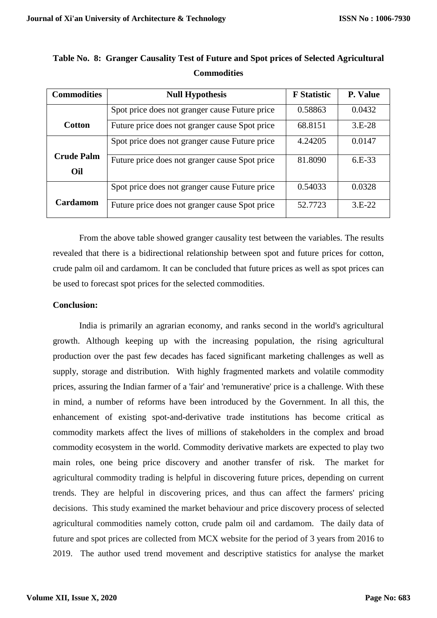| <b>Commodities</b> | <b>Null Hypothesis</b>                         | <b>F</b> Statistic | P. Value |
|--------------------|------------------------------------------------|--------------------|----------|
|                    | Spot price does not granger cause Future price | 0.58863            | 0.0432   |
| <b>Cotton</b>      | Future price does not granger cause Spot price | 68.8151            | $3.E-28$ |
|                    | Spot price does not granger cause Future price | 4.24205            | 0.0147   |
| <b>Crude Palm</b>  | Future price does not granger cause Spot price | 81.8090            | 6.E-33   |
| Oil                |                                                |                    |          |
|                    | Spot price does not granger cause Future price | 0.54033            | 0.0328   |
| <b>Cardamom</b>    | Future price does not granger cause Spot price | 52.7723            | $3.E-22$ |

# **Table No. 8: Granger Causality Test of Future and Spot prices of Selected Agricultural Commodities**

From the above table showed granger causality test between the variables. The results revealed that there is a bidirectional relationship between spot and future prices for cotton, crude palm oil and cardamom. It can be concluded that future prices as well as spot prices can be used to forecast spot prices for the selected commodities.

### **Conclusion:**

India is primarily an agrarian economy, and ranks second in the world's agricultural growth. Although keeping up with the increasing population, the rising agricultural production over the past few decades has faced significant marketing challenges as well as supply, storage and distribution. With highly fragmented markets and volatile commodity prices, assuring the Indian farmer of a 'fair' and 'remunerative' price is a challenge. With these in mind, a number of reforms have been introduced by the Government. In all this, the enhancement of existing spot-and-derivative trade institutions has become critical as commodity markets affect the lives of millions of stakeholders in the complex and broad commodity ecosystem in the world. Commodity derivative markets are expected to play two main roles, one being price discovery and another transfer of risk. The market for agricultural commodity trading is helpful in discovering future prices, depending on current trends. They are helpful in discovering prices, and thus can affect the farmers' pricing decisions. This study examined the market behaviour and price discovery process of selected agricultural commodities namely cotton, crude palm oil and cardamom. The daily data of future and spot prices are collected from MCX website for the period of 3 years from 2016 to 2019. The author used trend movement and descriptive statistics for analyse the market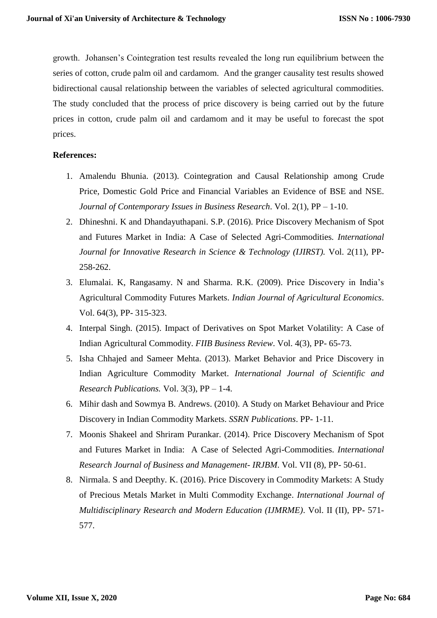growth. Johansen's Cointegration test results revealed the long run equilibrium between the series of cotton, crude palm oil and cardamom. And the granger causality test results showed bidirectional causal relationship between the variables of selected agricultural commodities. The study concluded that the process of price discovery is being carried out by the future prices in cotton, crude palm oil and cardamom and it may be useful to forecast the spot prices.

#### **References:**

- 1. Amalendu Bhunia. (2013). Cointegration and Causal Relationship among Crude Price, Domestic Gold Price and Financial Variables an Evidence of BSE and NSE. *Journal of Contemporary Issues in Business Research*. Vol. 2(1), PP – 1-10.
- 2. Dhineshni. K and Dhandayuthapani. S.P. (2016). Price Discovery Mechanism of Spot and Futures Market in India: A Case of Selected Agri-Commodities*. International Journal for Innovative Research in Science & Technology (IJIRST).* Vol. 2(11), PP-258-262.
- 3. Elumalai. K, Rangasamy. N and Sharma. R.K. (2009). Price Discovery in India's Agricultural Commodity Futures Markets. *Indian Journal of Agricultural Economics*. Vol. 64(3), PP- 315-323.
- 4. Interpal Singh. (2015). Impact of Derivatives on Spot Market Volatility: A Case of Indian Agricultural Commodity. *FIIB Business Review*. Vol. 4(3), PP- 65-73.
- 5. Isha Chhajed and Sameer Mehta. (2013). Market Behavior and Price Discovery in Indian Agriculture Commodity Market. *International Journal of Scientific and Research Publications.* Vol. 3(3), PP – 1-4.
- 6. Mihir dash and Sowmya B. Andrews. (2010). A Study on Market Behaviour and Price Discovery in Indian Commodity Markets. *SSRN Publications*. PP- 1-11.
- 7. Moonis Shakeel and Shriram Purankar. (2014). Price Discovery Mechanism of Spot and Futures Market in India: A Case of Selected Agri-Commodities. *International Research Journal of Business and Management- IRJBM*. Vol. VII (8), PP- 50-61.
- 8. Nirmala. S and Deepthy. K. (2016). Price Discovery in Commodity Markets: A Study of Precious Metals Market in Multi Commodity Exchange. *International Journal of Multidisciplinary Research and Modern Education (IJMRME)*. Vol. II (II), PP- 571- 577.